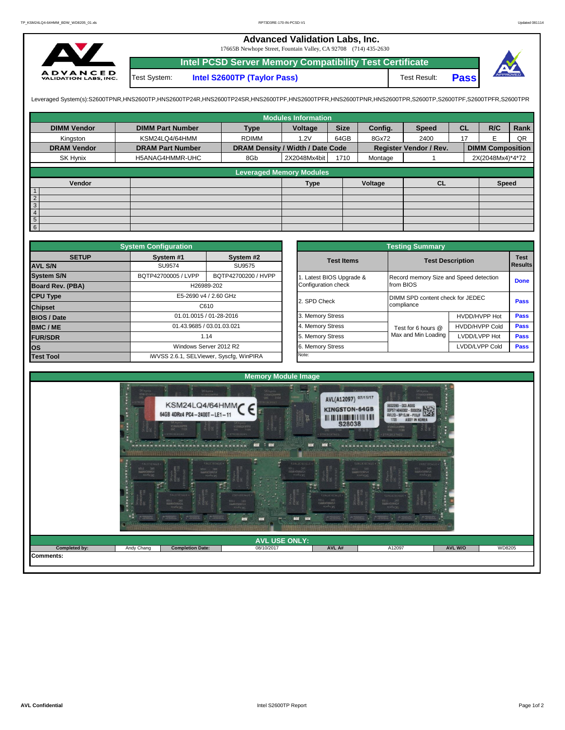## **Advanced Validation Labs, Inc.**

17665B Newhope Street, Fountain Valley, CA 92708 (714) 435-2630



Test System: **Intel S2600TP (Taylor Pass)** Test Result: **Intel PCSD Server Memory Compatibility Test Certificate Pass**

Leveraged System(s):S2600TPNR,HNS2600TP,HNS2600TP24R,HNS2600TP24SR,HNS2600TPF,HNS2600TPRR,HNS2600TPR,S2600TPR,S2600TPR,S2600TPR,S2600TPR,S2600TPFR,S2600TPFR,

|                    |                         |                                  | <b>Modules Information</b>      |             |         |                               |           |                         |      |
|--------------------|-------------------------|----------------------------------|---------------------------------|-------------|---------|-------------------------------|-----------|-------------------------|------|
| <b>DIMM Vendor</b> | <b>DIMM Part Number</b> | <b>Type</b>                      | Voltage                         | <b>Size</b> | Config. | <b>Speed</b>                  | <b>CL</b> | R/C                     | Rank |
| Kinaston           | KSM24LQ4/64HMM          | <b>RDIMM</b>                     | 1.2V                            | 64GB        | 8Gx72   | 2400                          | 17        | F                       | QR   |
| <b>DRAM Vendor</b> | <b>DRAM Part Number</b> | DRAM Density / Width / Date Code |                                 |             |         | <b>Register Vendor / Rev.</b> |           | <b>DIMM Composition</b> |      |
| SK Hynix           | H5ANAG4HMMR-UHC         | 8Gb                              | 2X2048Mx4bit                    | 1710        | Montage |                               |           | 2X(2048Mx4)*4*72        |      |
|                    |                         |                                  | <b>Leveraged Memory Modules</b> |             |         |                               |           |                         |      |
|                    |                         |                                  |                                 |             |         |                               |           |                         |      |
| Vendor             |                         |                                  | <b>Type</b>                     |             | Voltage | <b>CL</b>                     |           | Speed                   |      |
| $\mathbf{1}$       |                         |                                  |                                 |             |         |                               |           |                         |      |
| $\overline{2}$     |                         |                                  |                                 |             |         |                               |           |                         |      |
| $\overline{3}$     |                         |                                  |                                 |             |         |                               |           |                         |      |
| $\overline{4}$     |                         |                                  |                                 |             |         |                               |           |                         |      |
| $\frac{5}{6}$      |                         |                                  |                                 |             |         |                               |           |                         |      |
|                    |                         |                                  |                                 |             |         |                               |           |                         |      |

|                         | <b>System Configuration</b> |                                         |                       | <b>Testing Summary</b>                 |                         |             |  |
|-------------------------|-----------------------------|-----------------------------------------|-----------------------|----------------------------------------|-------------------------|-------------|--|
| <b>SETUP</b>            | System #1                   | System #2                               | <b>Test Items</b>     |                                        | <b>Test Description</b> | <b>Test</b> |  |
| <b>AVL S/N</b>          | SU9574                      | SU9575                                  |                       |                                        |                         | Results     |  |
| <b>System S/N</b>       | BQTP42700005 / LVPP         | BQTP42700200 / HVPP                     | Latest BIOS Upgrade & | Record memory Size and Speed detection |                         | <b>Done</b> |  |
| <b>Board Rev. (PBA)</b> |                             | H26989-202                              | Configuration check   | from BIOS                              |                         |             |  |
| <b>CPU Type</b>         |                             | E5-2690 v4 / 2.60 GHz                   | 2. SPD Check          | DIMM SPD content check for JEDEC       |                         | <b>Pass</b> |  |
| <b>Chipset</b>          |                             | C610                                    |                       | compliance                             |                         |             |  |
| <b>BIOS / Date</b>      |                             | 01.01.0015 / 01-28-2016                 | 3. Memory Stress      |                                        | HVDD/HVPP Hot           | <b>Pass</b> |  |
| <b>BMC/ME</b>           | 01.43.9685 / 03.01.03.021   |                                         | 4. Memory Stress      | Test for 6 hours @                     | <b>HVDD/HVPP Cold</b>   | Pass        |  |
| <b>FUR/SDR</b>          |                             | 1.14                                    | 5. Memory Stress      | Max and Min Loading                    | LVDD/LVPP Hot           | <b>Pass</b> |  |
| los                     | Windows Server 2012 R2      |                                         | 6. Memory Stress      |                                        | LVDD/LVPP Cold          | Pass        |  |
| <b>Test Tool</b>        |                             | iWVSS 2.6.1, SELViewer, Syscfq, WinPIRA | Note:                 |                                        |                         |             |  |

|              | <b>System Configuration</b> |                                         |                       | <b>Testing Summary</b>                 |                               |                |
|--------------|-----------------------------|-----------------------------------------|-----------------------|----------------------------------------|-------------------------------|----------------|
| <b>SETUP</b> | System #1                   | System #2                               | <b>Test Items</b>     | <b>Test Description</b>                |                               | <b>Test</b>    |
|              | SU9574                      | SU9575                                  |                       |                                        |                               | <b>Results</b> |
|              | BQTP42700005 / LVPP         | BQTP42700200 / HVPP                     | Latest BIOS Upgrade & | Record memory Size and Speed detection |                               |                |
| PBA)         |                             | H26989-202                              | Configuration check   | from BIOS                              |                               | <b>Done</b>    |
|              |                             | E5-2690 v4 / 2.60 GHz                   | 2. SPD Check          | DIMM SPD content check for JEDEC       | Pass                          |                |
|              |                             | C610                                    |                       | compliance                             |                               |                |
|              |                             | 01.01.0015 / 01-28-2016                 | 3. Memory Stress      |                                        | HVDD/HVPP Hot                 | Pass           |
|              |                             | 01.43.9685 / 03.01.03.021               | 4. Memory Stress      | Test for 6 hours @                     | Pass<br><b>HVDD/HVPP Cold</b> |                |
|              |                             | 1.14                                    | 5. Memory Stress      | Max and Min Loading                    | LVDD/LVPP Hot                 | Pass           |
|              |                             | Windows Server 2012 R2                  | 6. Memory Stress      |                                        | LVDD/LVPP Cold                | Pass           |
|              |                             | iWVSS 2.6.1, SELViewer, Syscfg, WinPIRA | Note:                 |                                        |                               |                |